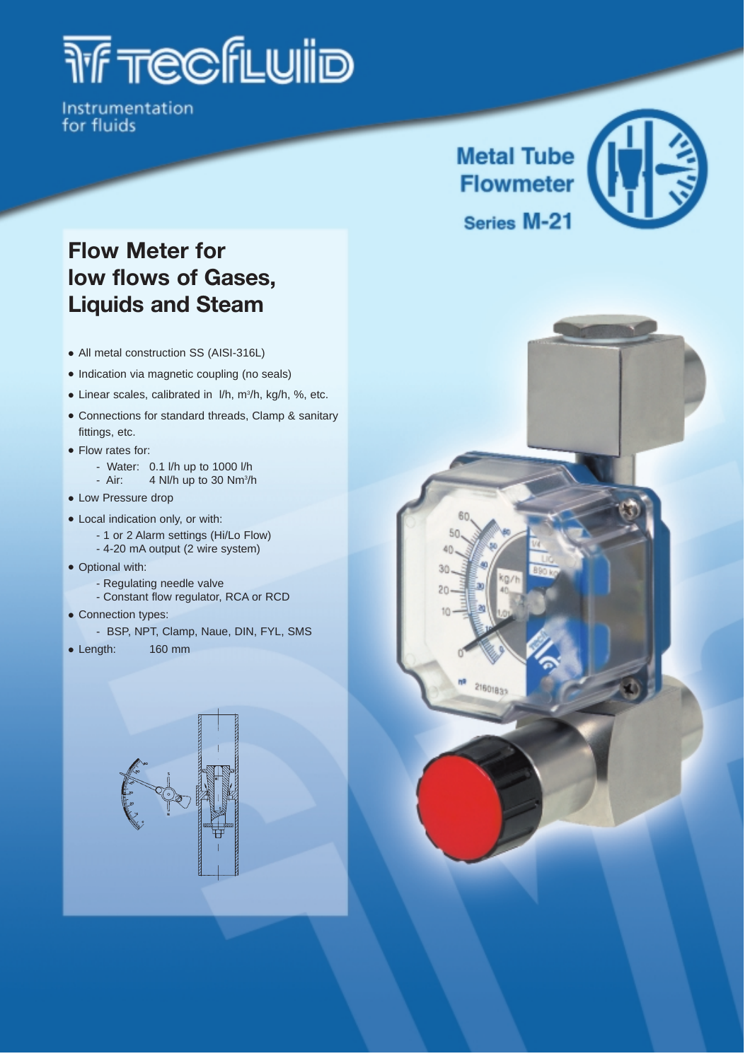# *THE TEGES*

Instrumentation for fluids

# **Flow Meter for low flows of Gases, Liquids and Steam**

- All metal construction SS (AISI-316L)
- Indication via magnetic coupling (no seals)
- Linear scales, calibrated in l/h, m3 /h, kg/h, %, etc.
- Connections for standard threads, Clamp & sanitary fittings, etc.
- Flow rates for:
	- Water: 0.1 l/h up to 1000 l/h
	- Air:  $4$  Nl/h up to 30 Nm<sup>3</sup>/h
- Low Pressure drop
- Local indication only, or with:
	- 1 or 2 Alarm settings (Hi/Lo Flow)
	- 4-20 mA output (2 wire system)
- Optional with:
	- Regulating needle valve
	- Constant flow regulator, RCA or RCD
- Connection types:
	- BSP, NPT, Clamp, Naue, DIN, FYL, SMS
- Length: 160 mm





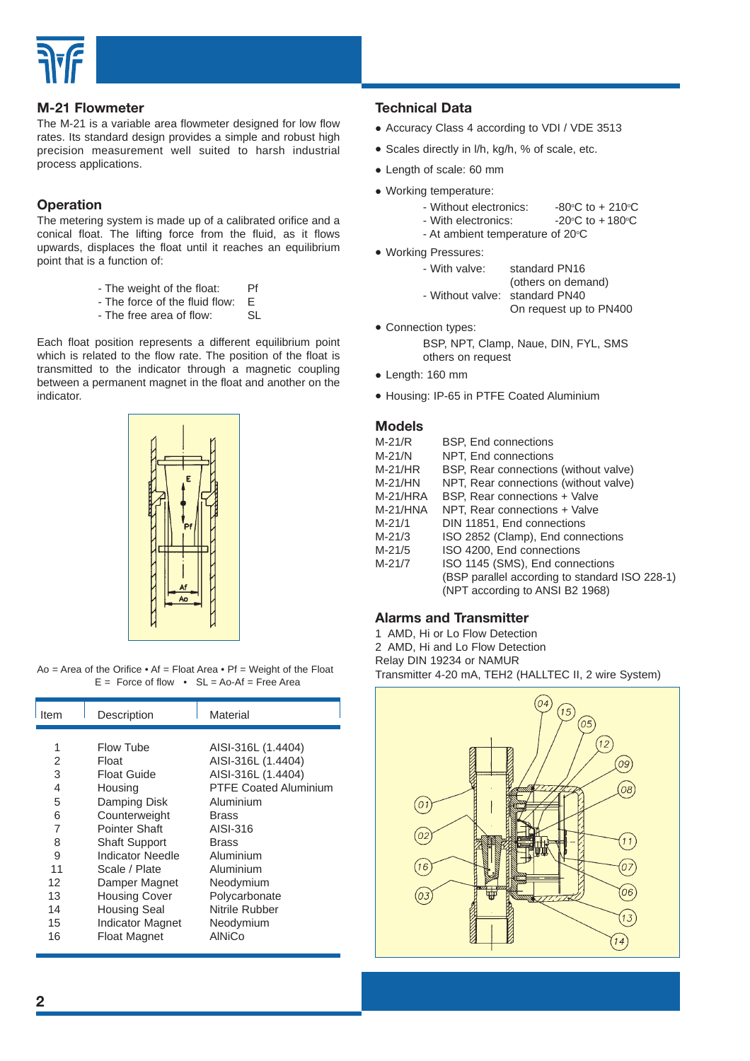

#### **M-21 Flowmeter**

The M-21 is a variable area flowmeter designed for low flow rates. Its standard design provides a simple and robust high precision measurement well suited to harsh industrial process applications.

#### **Operation**

The metering system is made up of a calibrated orifice and a conical float. The lifting force from the fluid, as it flows upwards, displaces the float until it reaches an equilibrium point that is a function of:

- 
- The weight of the float: Pf<br>- The force of the fluid flow: F - The force of the fluid flow:
- The free area of flow: SL

Each float position represents a different equilibrium point which is related to the flow rate. The position of the float is transmitted to the indicator through a magnetic coupling between a permanent magnet in the float and another on the indicator.



Ao = Area of the Orifice  $\bullet$  Af = Float Area  $\bullet$  Pf = Weight of the Float  $E =$  Force of flow  $\cdot$  SL = Ao-Af = Free Area

| Item   | Description             | Material                                 |  |  |  |
|--------|-------------------------|------------------------------------------|--|--|--|
| 1<br>2 | Flow Tube<br>Float      | AISI-316L (1.4404)<br>AISI-316L (1.4404) |  |  |  |
| 3      | Float Guide             | AISI-316L (1.4404)                       |  |  |  |
| 4      | Housing                 | <b>PTFE Coated Aluminium</b>             |  |  |  |
| 5      | Damping Disk            | Aluminium                                |  |  |  |
| 6      | Counterweight           | <b>Brass</b>                             |  |  |  |
| 7      | Pointer Shaft           | AISI-316                                 |  |  |  |
| 8      | <b>Shaft Support</b>    | <b>Brass</b>                             |  |  |  |
| 9      | Indicator Needle        | Aluminium                                |  |  |  |
| 11     | Scale / Plate           | Aluminium                                |  |  |  |
| 12     | Damper Magnet           | Neodymium                                |  |  |  |
| 13     | <b>Housing Cover</b>    | Polycarbonate                            |  |  |  |
| 14     | <b>Housing Seal</b>     | Nitrile Rubber                           |  |  |  |
| 15     | <b>Indicator Magnet</b> | Neodymium                                |  |  |  |
| 16     | <b>Float Magnet</b>     | AINiCo                                   |  |  |  |

#### **Technical Data**

- Accuracy Class 4 according to VDI / VDE 3513
- Scales directly in l/h, kg/h, % of scale, etc.
- Length of scale: 60 mm
- Working temperature:
	- Without electronics:
	- C to  $+210^{\circ}$ C - With electronics: C to  $+180^\circ C$
	- At ambient temperature of  $20^{\circ}$ C
- Working Pressures:

| - With valve: | standard PN16      |  |  |  |  |
|---------------|--------------------|--|--|--|--|
|               | (others on demand) |  |  |  |  |
|               |                    |  |  |  |  |

| - Without valve: standard PN40 |                        |  |  |  |  |
|--------------------------------|------------------------|--|--|--|--|
|                                | On request up to PN400 |  |  |  |  |

• Connection types:

BSP, NPT, Clamp, Naue, DIN, FYL, SMS others on request

- Length: 160 mm
- Housing: IP-65 in PTFE Coated Aluminium

#### **Models**

| M-21/R   | <b>BSP, End connections</b>                    |
|----------|------------------------------------------------|
| M-21/N   | NPT, End connections                           |
| M-21/HR  | BSP, Rear connections (without valve)          |
| M-21/HN  | NPT, Rear connections (without valve)          |
| M-21/HRA | BSP, Rear connections + Valve                  |
| M-21/HNA | NPT, Rear connections + Valve                  |
| M-21/1   | DIN 11851, End connections                     |
| M-21/3   | ISO 2852 (Clamp), End connections              |
| M-21/5   | ISO 4200, End connections                      |
| M-21/7   | ISO 1145 (SMS), End connections                |
|          | (BSP parallel according to standard ISO 228-1) |
|          | (NPT according to ANSI B2 1968)                |
|          |                                                |

#### **Alarms and Transmitter**

1 AMD, Hi or Lo Flow Detection 2 AMD, Hi and Lo Flow Detection Relay DIN 19234 or NAMUR Transmitter 4-20 mA, TEH2 (HALLTEC II, 2 wire System)

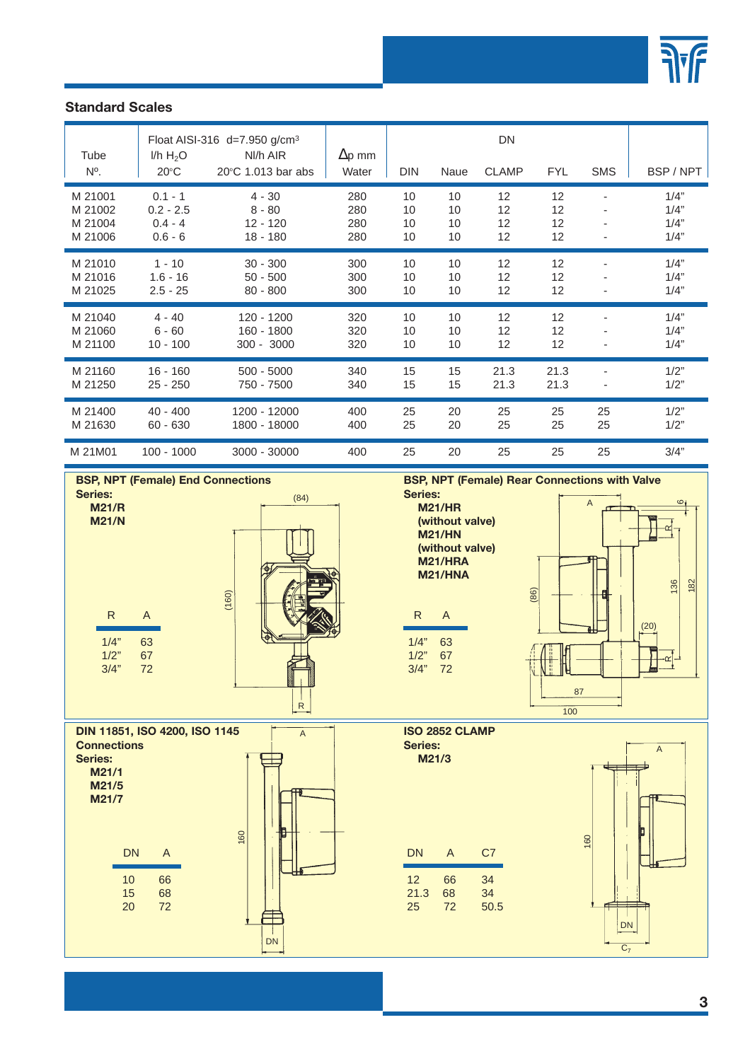

## **Standard Scales**

| Tube<br>$N^{\circ}$ . | I/h H <sub>2</sub> O<br>$20^{\circ}$ C | Float AISI-316 $d=7.950$ g/cm <sup>3</sup><br>NI/h AIR<br>20°C 1.013 bar abs | $\Delta p$ mm<br>Water | <b>DIN</b> | Naue | <b>DN</b><br><b>CLAMP</b> | <b>FYL</b> | <b>SMS</b>               | BSP / NPT |
|-----------------------|----------------------------------------|------------------------------------------------------------------------------|------------------------|------------|------|---------------------------|------------|--------------------------|-----------|
| M 21001               | $0.1 - 1$                              | $4 - 30$                                                                     | 280                    | 10         | 10   | 12 <sup>2</sup>           | 12         |                          | 1/4"      |
| M 21002               | $0.2 - 2.5$                            | $8 - 80$                                                                     | 280                    | 10         | 10   | 12 <sup>2</sup>           | 12         |                          | 1/4"      |
| M 21004               | $0.4 - 4$                              | $12 - 120$                                                                   | 280                    | 10         | 10   | 12 <sup>2</sup>           | 12         |                          | 1/4"      |
| M 21006               | $0.6 - 6$                              | $18 - 180$                                                                   | 280                    | 10         | 10   | 12 <sup>2</sup>           | 12         |                          | 1/4"      |
| M 21010               | $1 - 10$                               | $30 - 300$                                                                   | 300                    | 10         | 10   | 12                        | 12         | $\overline{\phantom{a}}$ | 1/4"      |
| M 21016               | $1.6 - 16$                             | $50 - 500$                                                                   | 300                    | 10         | 10   | 12                        | 12         |                          | 1/4"      |
| M 21025               | $2.5 - 25$                             | $80 - 800$                                                                   | 300                    | 10         | 10   | 12 <sup>2</sup>           | 12         |                          | 1/4"      |
| M 21040               | $4 - 40$                               | 120 - 1200                                                                   | 320                    | 10         | 10   | 12                        | 12         |                          | 1/4"      |
| M 21060               | $6 - 60$                               | 160 - 1800                                                                   | 320                    | 10         | 10   | 12                        | 12         |                          | 1/4"      |
| M 21100               | $10 - 100$                             | $300 - 3000$                                                                 | 320                    | 10         | 10   | 12                        | 12         |                          | 1/4"      |
| M 21160               | $16 - 160$                             | $500 - 5000$                                                                 | 340                    | 15         | 15   | 21.3                      | 21.3       | ٠                        | 1/2"      |
| M 21250               | $25 - 250$                             | 750 - 7500                                                                   | 340                    | 15         | 15   | 21.3                      | 21.3       |                          | 1/2"      |
| M 21400               | $40 - 400$                             | 1200 - 12000                                                                 | 400                    | 25         | 20   | 25                        | 25         | 25                       | 1/2"      |
| M 21630               | $60 - 630$                             | 1800 - 18000                                                                 | 400                    | 25         | 20   | 25                        | 25         | 25                       | 1/2"      |
| M 21M01               | $100 - 1000$                           | 3000 - 30000                                                                 | 400                    | 25         | 20   | 25                        | 25         | 25                       | 3/4"      |



**Series:** (84) **Series:**<br> **M21/HR** A **(without valve) M21/HN (without valve)**

**BSP, NPT (Female) Rear Connections with Valve**